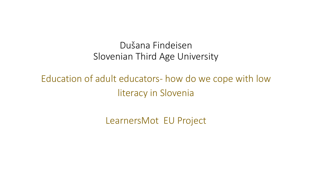#### Dušana Findeisen Slovenian Third Age University

# Education of adult educators- how do we cope with low literacy in Slovenia

LearnersMot EU Project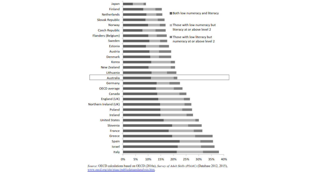

Source: OECD calculations based on OECD (2016a), Survey of Adult Skills (PIAAC) (Database 2012, 2015), www.oecd.org/site/piaac/publicdataandanalysis.htm.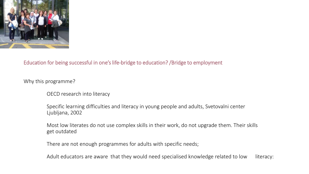

#### Education for being successful in one's life-bridge to education? /Bridge to employment

Why this programme?

OECD research into literacy

Specific learning difficulties and literacy in young people and adults, Svetovalni center Ljubljana, 2002

Most low literates do not use complex skills in their work, do not upgrade them. Their skills get outdated

There are not enough programmes for adults with specific needs;

Adult educators are aware that they would need specialised knowledge related to low literacy: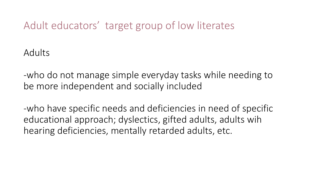## Adult educators' target group of low literates

Adults

-who do not manage simple everyday tasks while needing to be more independent and socially included

-who have specific needs and deficiencies in need of specific educational approach; dyslectics, gifted adults, adults wih hearing deficiencies, mentally retarded adults, etc.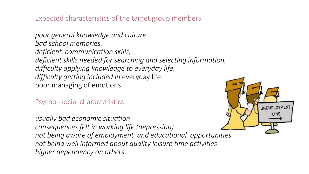Expected characteristics of the target group members

*poor general knowledge and culture bad school memories. deficient communication skills, deficient skills needed for searching and selecting information, difficulty applying knowledge to everyday life, difficulty getting included in* everyday life. poor managing of emotions.

Psycho- social characteristics

*usually bad economic situation consequences felt in working life (depression) not being aware of employment and educational opportunities not being well informed about quality leisure time activities higher dependency on others*

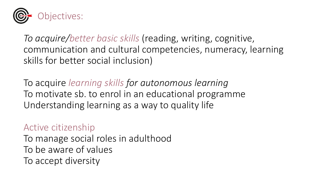

*To acquire/better basic skills* (reading, writing, cognitive, communication and cultural competencies, numeracy, learning skills for better social inclusion)

To acquire *learning skills for autonomous learning* To motivate sb. to enrol in an educational programme Understanding learning as a way to quality life

#### Active citizenship

To manage social roles in adulthood To be aware of values To accept diversity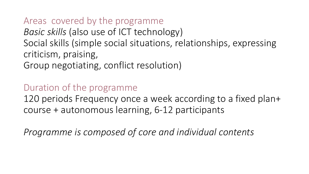#### Areas covered by the programme *Basic skills* (also use of ICT technology) Social skills (simple social situations, relationships, expressing criticism, praising, Group negotiating, conflict resolution)

#### Duration of the programme

120 periods Frequency once a week according to a fixed plan+ course + autonomous learning, 6-12 participants

*Programme is composed of core and individual contents*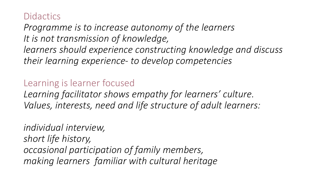### **Didactics**

*Programme is to increase autonomy of the learners It is not transmission of knowledge, learners should experience constructing knowledge and discuss their learning experience- to develop competencies*

#### Learning is learner focused

*Learning facilitator shows empathy for learners' culture. Values, interests, need and life structure of adult learners:* 

*individual interview, short life history, occasional participation of family members, making learners familiar with cultural heritage*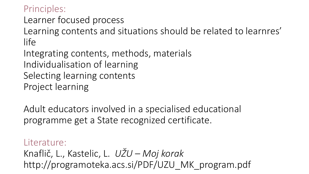#### Principles:

Learner focused process

Learning contents and situations should be related to learnres' life

Integrating contents, methods, materials Individualisation of learning Selecting learning contents Project learning

Adult educators involved in a specialised educational programme get a State recognized certificate.

## Literature: Knaflič, L., Kastelic, L. *UŽU – Moj korak* http://programoteka.acs.si/PDF/UZU\_MK\_program.pdf